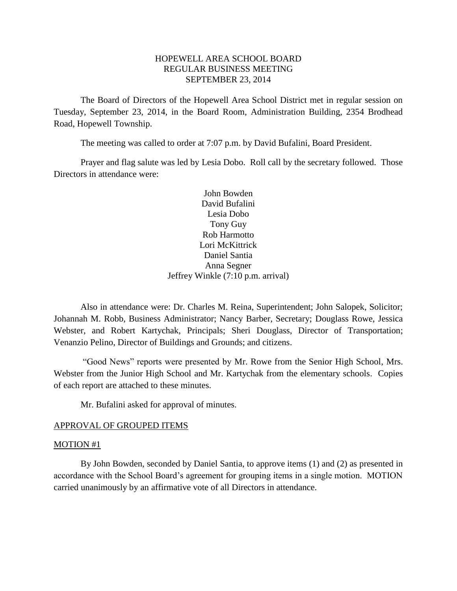## HOPEWELL AREA SCHOOL BOARD REGULAR BUSINESS MEETING SEPTEMBER 23, 2014

The Board of Directors of the Hopewell Area School District met in regular session on Tuesday, September 23, 2014, in the Board Room, Administration Building, 2354 Brodhead Road, Hopewell Township.

The meeting was called to order at 7:07 p.m. by David Bufalini, Board President.

Prayer and flag salute was led by Lesia Dobo. Roll call by the secretary followed. Those Directors in attendance were:

> John Bowden David Bufalini Lesia Dobo Tony Guy Rob Harmotto Lori McKittrick Daniel Santia Anna Segner Jeffrey Winkle (7:10 p.m. arrival)

Also in attendance were: Dr. Charles M. Reina, Superintendent; John Salopek, Solicitor; Johannah M. Robb, Business Administrator; Nancy Barber, Secretary; Douglass Rowe, Jessica Webster, and Robert Kartychak, Principals; Sheri Douglass, Director of Transportation; Venanzio Pelino, Director of Buildings and Grounds; and citizens.

"Good News" reports were presented by Mr. Rowe from the Senior High School, Mrs. Webster from the Junior High School and Mr. Kartychak from the elementary schools. Copies of each report are attached to these minutes.

Mr. Bufalini asked for approval of minutes.

#### APPROVAL OF GROUPED ITEMS

#### MOTION #1

By John Bowden, seconded by Daniel Santia, to approve items (1) and (2) as presented in accordance with the School Board's agreement for grouping items in a single motion. MOTION carried unanimously by an affirmative vote of all Directors in attendance.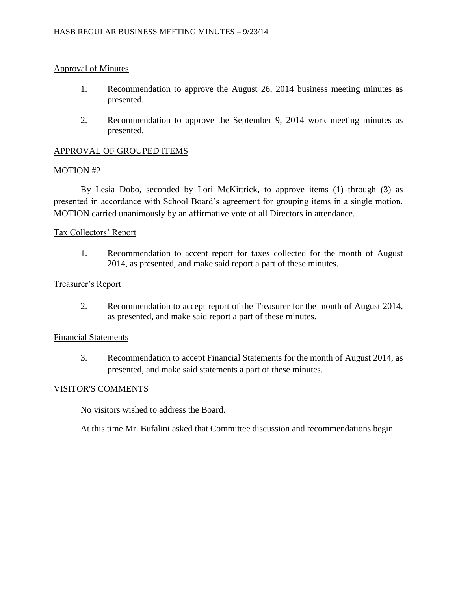## Approval of Minutes

- 1. Recommendation to approve the August 26, 2014 business meeting minutes as presented.
- 2. Recommendation to approve the September 9, 2014 work meeting minutes as presented.

## APPROVAL OF GROUPED ITEMS

### MOTION #2

By Lesia Dobo, seconded by Lori McKittrick, to approve items (1) through (3) as presented in accordance with School Board's agreement for grouping items in a single motion. MOTION carried unanimously by an affirmative vote of all Directors in attendance.

### Tax Collectors' Report

1. Recommendation to accept report for taxes collected for the month of August 2014, as presented, and make said report a part of these minutes.

### Treasurer's Report

2. Recommendation to accept report of the Treasurer for the month of August 2014, as presented, and make said report a part of these minutes.

### Financial Statements

3. Recommendation to accept Financial Statements for the month of August 2014, as presented, and make said statements a part of these minutes.

### VISITOR'S COMMENTS

No visitors wished to address the Board.

At this time Mr. Bufalini asked that Committee discussion and recommendations begin.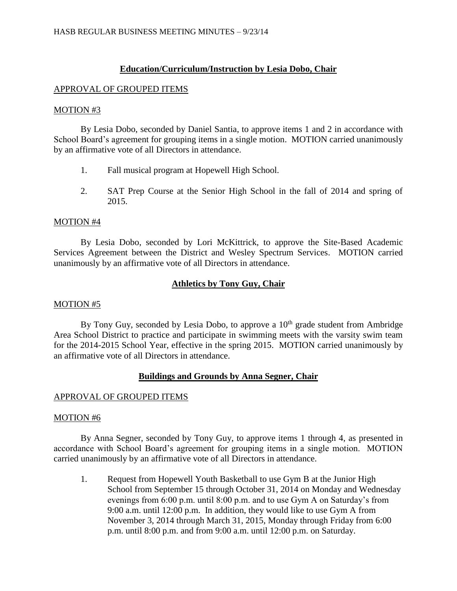## **Education/Curriculum/Instruction by Lesia Dobo, Chair**

## APPROVAL OF GROUPED ITEMS

### MOTION #3

By Lesia Dobo, seconded by Daniel Santia, to approve items 1 and 2 in accordance with School Board's agreement for grouping items in a single motion. MOTION carried unanimously by an affirmative vote of all Directors in attendance.

- 1. Fall musical program at Hopewell High School.
- 2. SAT Prep Course at the Senior High School in the fall of 2014 and spring of 2015.

### MOTION #4

By Lesia Dobo, seconded by Lori McKittrick, to approve the Site-Based Academic Services Agreement between the District and Wesley Spectrum Services. MOTION carried unanimously by an affirmative vote of all Directors in attendance.

## **Athletics by Tony Guy, Chair**

## MOTION #5

By Tony Guy, seconded by Lesia Dobo, to approve a 10<sup>th</sup> grade student from Ambridge Area School District to practice and participate in swimming meets with the varsity swim team for the 2014-2015 School Year, effective in the spring 2015. MOTION carried unanimously by an affirmative vote of all Directors in attendance.

## **Buildings and Grounds by Anna Segner, Chair**

## APPROVAL OF GROUPED ITEMS

### MOTION #6

By Anna Segner, seconded by Tony Guy, to approve items 1 through 4, as presented in accordance with School Board's agreement for grouping items in a single motion. MOTION carried unanimously by an affirmative vote of all Directors in attendance.

1. Request from Hopewell Youth Basketball to use Gym B at the Junior High School from September 15 through October 31, 2014 on Monday and Wednesday evenings from 6:00 p.m. until 8:00 p.m. and to use Gym A on Saturday's from 9:00 a.m. until 12:00 p.m. In addition, they would like to use Gym A from November 3, 2014 through March 31, 2015, Monday through Friday from 6:00 p.m. until 8:00 p.m. and from 9:00 a.m. until 12:00 p.m. on Saturday.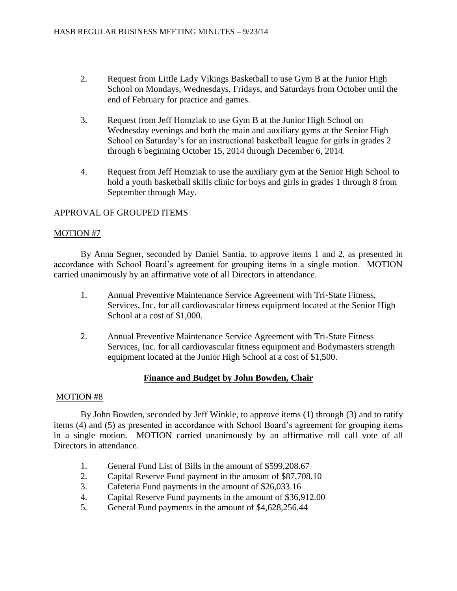- 2. Request from Little Lady Vikings Basketball to use Gym B at the Junior High School on Mondays, Wednesdays, Fridays, and Saturdays from October until the end of February for practice and games.
- 3. Request from Jeff Homziak to use Gym B at the Junior High School on Wednesday evenings and both the main and auxiliary gyms at the Senior High School on Saturday's for an instructional basketball league for girls in grades 2 through 6 beginning October 15, 2014 through December 6, 2014.
- 4. Request from Jeff Homziak to use the auxiliary gym at the Senior High School to hold a youth basketball skills clinic for boys and girls in grades 1 through 8 from September through May.

## APPROVAL OF GROUPED ITEMS

## MOTION #7

By Anna Segner, seconded by Daniel Santia, to approve items 1 and 2, as presented in accordance with School Board's agreement for grouping items in a single motion. MOTION carried unanimously by an affirmative vote of all Directors in attendance.

- 1. Annual Preventive Maintenance Service Agreement with Tri-State Fitness, Services, Inc. for all cardiovascular fitness equipment located at the Senior High School at a cost of \$1,000.
- 2. Annual Preventive Maintenance Service Agreement with Tri-State Fitness Services, Inc. for all cardiovascular fitness equipment and Bodymasters strength equipment located at the Junior High School at a cost of \$1,500.

# **Finance and Budget by John Bowden, Chair**

## MOTION #8

By John Bowden, seconded by Jeff Winkle, to approve items (1) through (3) and to ratify items (4) and (5) as presented in accordance with School Board's agreement for grouping items in a single motion. MOTION carried unanimously by an affirmative roll call vote of all Directors in attendance.

- 1. General Fund List of Bills in the amount of \$599,208.67
- 2. Capital Reserve Fund payment in the amount of \$87,708.10
- 3. Cafeteria Fund payments in the amount of \$26,033.16
- 4. Capital Reserve Fund payments in the amount of \$36,912.00
- 5. General Fund payments in the amount of \$4,628,256.44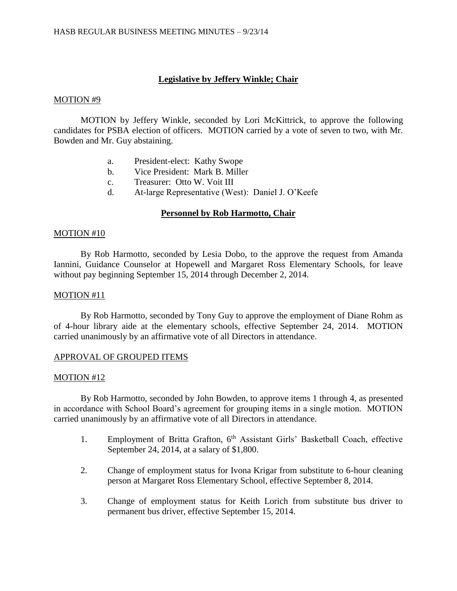## **Legislative by Jeffery Winkle; Chair**

### MOTION #9

MOTION by Jeffery Winkle, seconded by Lori McKittrick, to approve the following candidates for PSBA election of officers. MOTION carried by a vote of seven to two, with Mr. Bowden and Mr. Guy abstaining.

- a. President-elect: Kathy Swope
- b. Vice President: Mark B. Miller
- c. Treasurer: Otto W. Voit III
- d. At-large Representative (West): Daniel J. O'Keefe

## **Personnel by Rob Harmotto, Chair**

#### MOTION #10

By Rob Harmotto, seconded by Lesia Dobo, to the approve the request from Amanda Iannini, Guidance Counselor at Hopewell and Margaret Ross Elementary Schools, for leave without pay beginning September 15, 2014 through December 2, 2014.

#### MOTION #11

By Rob Harmotto, seconded by Tony Guy to approve the employment of Diane Rohm as of 4-hour library aide at the elementary schools, effective September 24, 2014. MOTION carried unanimously by an affirmative vote of all Directors in attendance.

### APPROVAL OF GROUPED ITEMS

### MOTION #12

By Rob Harmotto, seconded by John Bowden, to approve items 1 through 4, as presented in accordance with School Board's agreement for grouping items in a single motion. MOTION carried unanimously by an affirmative vote of all Directors in attendance.

- 1. Employment of Britta Grafton, 6<sup>th</sup> Assistant Girls' Basketball Coach, effective September 24, 2014, at a salary of \$1,800.
- 2. Change of employment status for Ivona Krigar from substitute to 6-hour cleaning person at Margaret Ross Elementary School, effective September 8, 2014.
- 3. Change of employment status for Keith Lorich from substitute bus driver to permanent bus driver, effective September 15, 2014.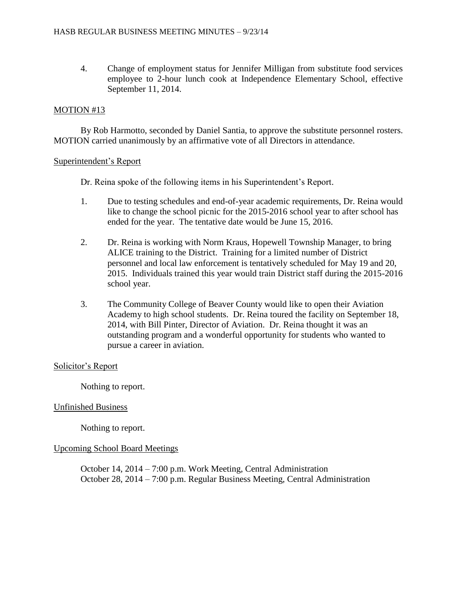4. Change of employment status for Jennifer Milligan from substitute food services employee to 2-hour lunch cook at Independence Elementary School, effective September 11, 2014.

## MOTION #13

By Rob Harmotto, seconded by Daniel Santia, to approve the substitute personnel rosters. MOTION carried unanimously by an affirmative vote of all Directors in attendance.

### Superintendent's Report

Dr. Reina spoke of the following items in his Superintendent's Report.

- 1. Due to testing schedules and end-of-year academic requirements, Dr. Reina would like to change the school picnic for the 2015-2016 school year to after school has ended for the year. The tentative date would be June 15, 2016.
- 2. Dr. Reina is working with Norm Kraus, Hopewell Township Manager, to bring ALICE training to the District. Training for a limited number of District personnel and local law enforcement is tentatively scheduled for May 19 and 20, 2015. Individuals trained this year would train District staff during the 2015-2016 school year.
- 3. The Community College of Beaver County would like to open their Aviation Academy to high school students. Dr. Reina toured the facility on September 18, 2014, with Bill Pinter, Director of Aviation. Dr. Reina thought it was an outstanding program and a wonderful opportunity for students who wanted to pursue a career in aviation.

### Solicitor's Report

Nothing to report.

### Unfinished Business

Nothing to report.

### Upcoming School Board Meetings

October 14, 2014 – 7:00 p.m. Work Meeting, Central Administration October 28, 2014 – 7:00 p.m. Regular Business Meeting, Central Administration